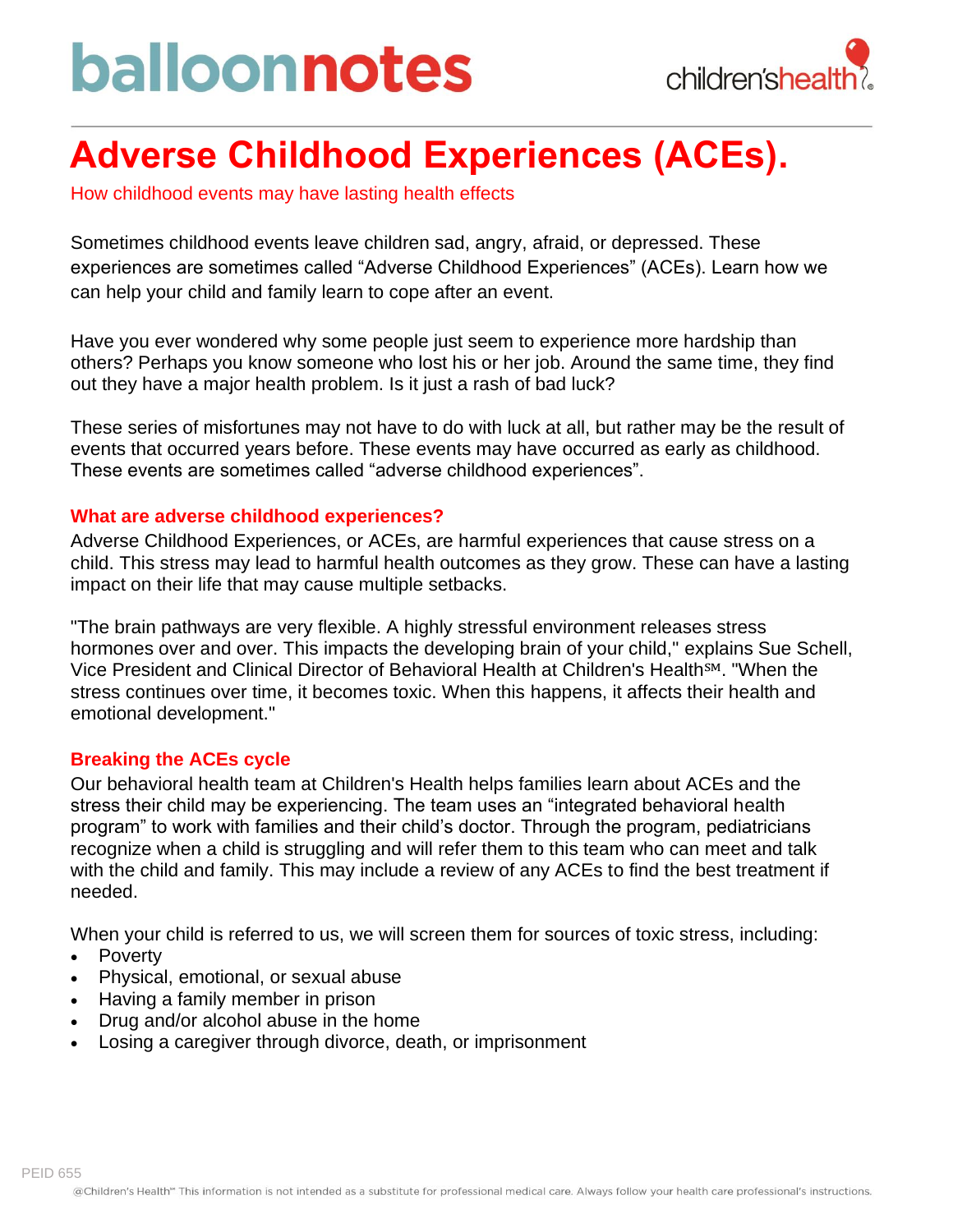# balloonnotes



### **Adverse Childhood Experiences (ACEs).**

How childhood events may have lasting health effects

Sometimes childhood events leave children sad, angry, afraid, or depressed. These experiences are sometimes called "Adverse Childhood Experiences" (ACEs). Learn how we can help your child and family learn to cope after an event.

Have you ever wondered why some people just seem to experience more hardship than others? Perhaps you know someone who lost his or her job. Around the same time, they find out they have a major health problem. Is it just a rash of bad luck?

These series of misfortunes may not have to do with luck at all, but rather may be the result of events that occurred years before. These events may have occurred as early as childhood. These events are sometimes called "adverse childhood experiences".

#### **What are adverse childhood experiences?**

Adverse Childhood Experiences, or ACEs, are harmful experiences that cause stress on a child. This stress may lead to harmful health outcomes as they grow. These can have a lasting impact on their life that may cause multiple setbacks.

"The brain pathways are very flexible. A highly stressful environment releases stress hormones over and over. This impacts the developing brain of your child," explains Sue Schell, Vice President and Clinical Director of Behavioral Health at Children's Health<sup>SM</sup>. "When the stress continues over time, it becomes toxic. When this happens, it affects their health and emotional development."

#### **Breaking the ACEs cycle**

Our behavioral health team at Children's Health helps families learn about ACEs and the stress their child may be experiencing. The team uses an "integrated behavioral health program" to work with families and their child's doctor. Through the program, pediatricians recognize when a child is struggling and will refer them to this team who can meet and talk with the child and family. This may include a review of any ACEs to find the best treatment if needed.

When your child is referred to us, we will screen them for sources of toxic stress, including:

- Poverty
- Physical, emotional, or sexual abuse
- Having a family member in prison
- Drug and/or alcohol abuse in the home
- Losing a caregiver through divorce, death, or imprisonment